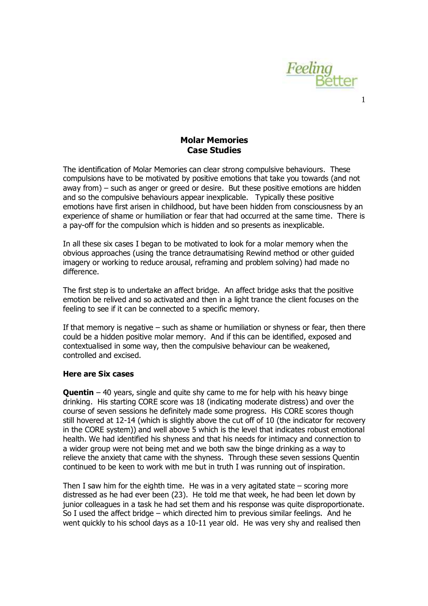

1

## Molar Memories Case Studies

The identification of Molar Memories can clear strong compulsive behaviours. These compulsions have to be motivated by positive emotions that take you towards (and not away from) – such as anger or greed or desire. But these positive emotions are hidden and so the compulsive behaviours appear inexplicable. Typically these positive emotions have first arisen in childhood, but have been hidden from consciousness by an experience of shame or humiliation or fear that had occurred at the same time. There is a pay-off for the compulsion which is hidden and so presents as inexplicable.

In all these six cases I began to be motivated to look for a molar memory when the obvious approaches (using the trance detraumatising Rewind method or other guided imagery or working to reduce arousal, reframing and problem solving) had made no difference.

The first step is to undertake an affect bridge. An affect bridge asks that the positive emotion be relived and so activated and then in a light trance the client focuses on the feeling to see if it can be connected to a specific memory.

If that memory is negative – such as shame or humiliation or shyness or fear, then there could be a hidden positive molar memory. And if this can be identified, exposed and contextualised in some way, then the compulsive behaviour can be weakened, controlled and excised.

## Here are Six cases

**Quentin** – 40 years, single and quite shy came to me for help with his heavy binge drinking. His starting CORE score was 18 (indicating moderate distress) and over the course of seven sessions he definitely made some progress. His CORE scores though still hovered at 12-14 (which is slightly above the cut off of 10 (the indicator for recovery in the CORE system)) and well above 5 which is the level that indicates robust emotional health. We had identified his shyness and that his needs for intimacy and connection to a wider group were not being met and we both saw the binge drinking as a way to relieve the anxiety that came with the shyness. Through these seven sessions Quentin continued to be keen to work with me but in truth I was running out of inspiration.

Then I saw him for the eighth time. He was in a very agitated state  $-$  scoring more distressed as he had ever been (23). He told me that week, he had been let down by junior colleagues in a task he had set them and his response was quite disproportionate. So I used the affect bridge – which directed him to previous similar feelings. And he went quickly to his school days as a 10-11 year old. He was very shy and realised then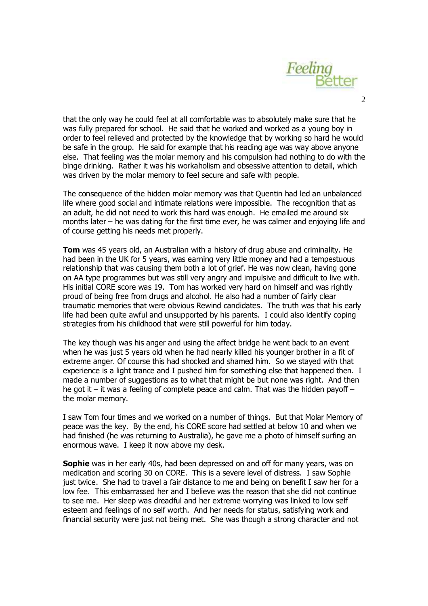

 $\mathcal{L}$ 

that the only way he could feel at all comfortable was to absolutely make sure that he was fully prepared for school. He said that he worked and worked as a young boy in order to feel relieved and protected by the knowledge that by working so hard he would be safe in the group. He said for example that his reading age was way above anyone else. That feeling was the molar memory and his compulsion had nothing to do with the binge drinking. Rather it was his workaholism and obsessive attention to detail, which was driven by the molar memory to feel secure and safe with people.

The consequence of the hidden molar memory was that Quentin had led an unbalanced life where good social and intimate relations were impossible. The recognition that as an adult, he did not need to work this hard was enough. He emailed me around six months later – he was dating for the first time ever, he was calmer and enjoying life and of course getting his needs met properly.

**Tom** was 45 years old, an Australian with a history of drug abuse and criminality. He had been in the UK for 5 years, was earning very little money and had a tempestuous relationship that was causing them both a lot of grief. He was now clean, having gone on AA type programmes but was still very angry and impulsive and difficult to live with. His initial CORE score was 19. Tom has worked very hard on himself and was rightly proud of being free from drugs and alcohol. He also had a number of fairly clear traumatic memories that were obvious Rewind candidates. The truth was that his early life had been quite awful and unsupported by his parents. I could also identify coping strategies from his childhood that were still powerful for him today.

The key though was his anger and using the affect bridge he went back to an event when he was just 5 years old when he had nearly killed his younger brother in a fit of extreme anger. Of course this had shocked and shamed him. So we stayed with that experience is a light trance and I pushed him for something else that happened then. I made a number of suggestions as to what that might be but none was right. And then he got it – it was a feeling of complete peace and calm. That was the hidden payoff – the molar memory.

I saw Tom four times and we worked on a number of things. But that Molar Memory of peace was the key. By the end, his CORE score had settled at below 10 and when we had finished (he was returning to Australia), he gave me a photo of himself surfing an enormous wave. I keep it now above my desk.

**Sophie** was in her early 40s, had been depressed on and off for many years, was on medication and scoring 30 on CORE. This is a severe level of distress. I saw Sophie just twice. She had to travel a fair distance to me and being on benefit I saw her for a low fee. This embarrassed her and I believe was the reason that she did not continue to see me. Her sleep was dreadful and her extreme worrying was linked to low self esteem and feelings of no self worth. And her needs for status, satisfying work and financial security were just not being met. She was though a strong character and not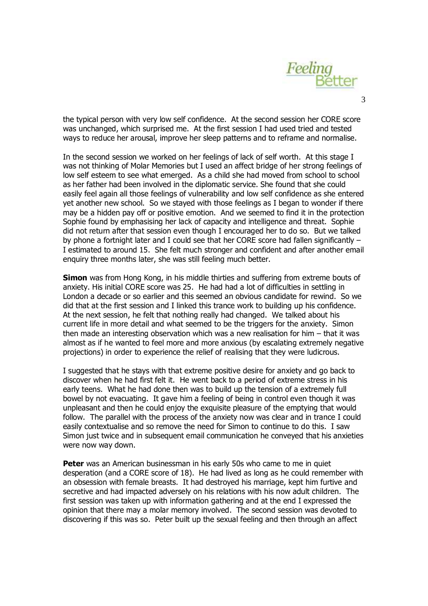

the typical person with very low self confidence. At the second session her CORE score was unchanged, which surprised me. At the first session I had used tried and tested ways to reduce her arousal, improve her sleep patterns and to reframe and normalise.

In the second session we worked on her feelings of lack of self worth. At this stage I was not thinking of Molar Memories but I used an affect bridge of her strong feelings of low self esteem to see what emerged. As a child she had moved from school to school as her father had been involved in the diplomatic service. She found that she could easily feel again all those feelings of vulnerability and low self confidence as she entered yet another new school. So we stayed with those feelings as I began to wonder if there may be a hidden pay off or positive emotion. And we seemed to find it in the protection Sophie found by emphasising her lack of capacity and intelligence and threat. Sophie did not return after that session even though I encouraged her to do so. But we talked by phone a fortnight later and I could see that her CORE score had fallen significantly – I estimated to around 15. She felt much stronger and confident and after another email enquiry three months later, she was still feeling much better.

**Simon** was from Hong Kong, in his middle thirties and suffering from extreme bouts of anxiety. His initial CORE score was 25. He had had a lot of difficulties in settling in London a decade or so earlier and this seemed an obvious candidate for rewind. So we did that at the first session and I linked this trance work to building up his confidence. At the next session, he felt that nothing really had changed. We talked about his current life in more detail and what seemed to be the triggers for the anxiety. Simon then made an interesting observation which was a new realisation for him – that it was almost as if he wanted to feel more and more anxious (by escalating extremely negative projections) in order to experience the relief of realising that they were ludicrous.

I suggested that he stays with that extreme positive desire for anxiety and go back to discover when he had first felt it. He went back to a period of extreme stress in his early teens. What he had done then was to build up the tension of a extremely full bowel by not evacuating. It gave him a feeling of being in control even though it was unpleasant and then he could enjoy the exquisite pleasure of the emptying that would follow. The parallel with the process of the anxiety now was clear and in trance I could easily contextualise and so remove the need for Simon to continue to do this. I saw Simon just twice and in subsequent email communication he conveyed that his anxieties were now way down.

**Peter** was an American businessman in his early 50s who came to me in quiet desperation (and a CORE score of 18). He had lived as long as he could remember with an obsession with female breasts. It had destroyed his marriage, kept him furtive and secretive and had impacted adversely on his relations with his now adult children. The first session was taken up with information gathering and at the end I expressed the opinion that there may a molar memory involved. The second session was devoted to discovering if this was so. Peter built up the sexual feeling and then through an affect